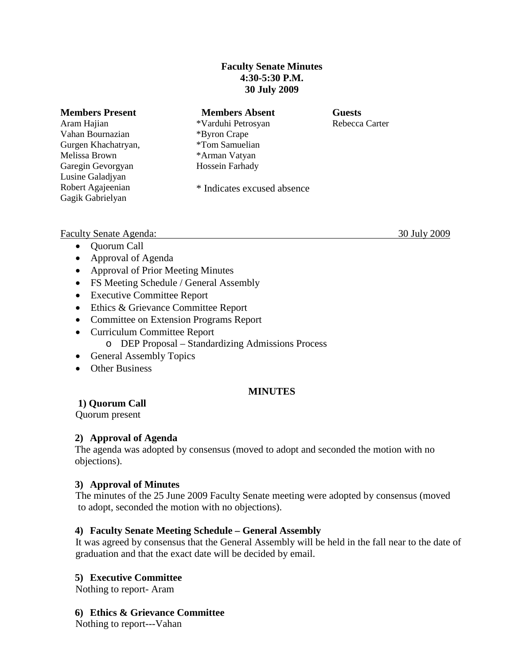#### **Faculty Senate Minutes 4:30-5:30 P.M. 30 July 2009**

| <b>Members Present</b> | <b>Members Absent</b>       | <b>Guests</b>  |
|------------------------|-----------------------------|----------------|
| Aram Hajian            | *Varduhi Petrosyan          | Rebecca Carter |
| Vahan Bournazian       | *Byron Crape                |                |
| Gurgen Khachatryan,    | *Tom Samuelian              |                |
| Melissa Brown          | *Arman Vatyan               |                |
| Garegin Gevorgyan      | Hossein Farhady             |                |
| Lusine Galadjyan       |                             |                |
| Robert Agajeenian      | * Indicates excused absence |                |
| Gagik Gabrielyan       |                             |                |
|                        |                             |                |

#### Faculty Senate Agenda: 30 July 2009

- Quorum Call
- Approval of Agenda
- Approval of Prior Meeting Minutes
- FS Meeting Schedule / General Assembly
- Executive Committee Report
- Ethics & Grievance Committee Report
- Committee on Extension Programs Report
- Curriculum Committee Report
	- o DEP Proposal Standardizing Admissions Process
- General Assembly Topics
- Other Business

### **MINUTES**

# **1) Quorum Call**

Quorum present

### **2) Approval of Agenda**

The agenda was adopted by consensus (moved to adopt and seconded the motion with no objections).

### **3) Approval of Minutes**

The minutes of the 25 June 2009 Faculty Senate meeting were adopted by consensus (moved to adopt, seconded the motion with no objections).

### **4) Faculty Senate Meeting Schedule – General Assembly**

It was agreed by consensus that the General Assembly will be held in the fall near to the date of graduation and that the exact date will be decided by email.

### **5) Executive Committee**

Nothing to report- Aram

### **6) Ethics & Grievance Committee**

Nothing to report---Vahan